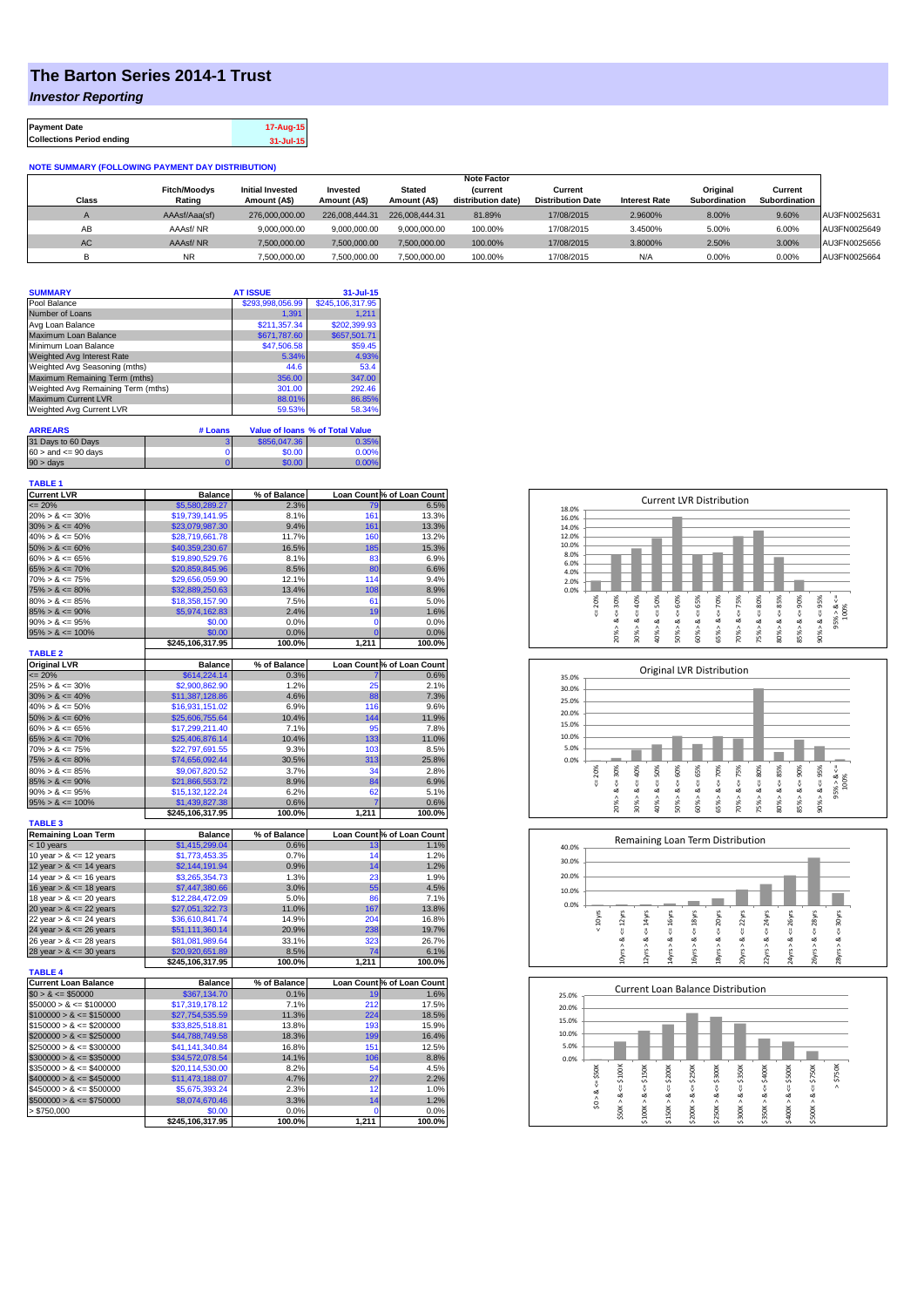## **The Barton Series 2014-1 Trust**

*Investor Reporting*

| <b>Payment Date</b>              | 17-Aug-15 |
|----------------------------------|-----------|
| <b>Collections Period ending</b> | 31-Jul-15 |

## **NOTE SUMMARY (FOLLOWING PAYMENT DAY DISTRIBUTION)**

|              |                     |                         |                |                | <b>Note Factor</b> |                          |                      |               |               |              |
|--------------|---------------------|-------------------------|----------------|----------------|--------------------|--------------------------|----------------------|---------------|---------------|--------------|
|              | <b>Fitch/Moodys</b> | <b>Initial Invested</b> | Invested       | Stated         | <b>Current</b>     | Current                  |                      | Original      | Current       |              |
| <b>Class</b> | Rating              | Amount (A\$)            | Amount (A\$)   | Amount (A\$)   | distribution date) | <b>Distribution Date</b> | <b>Interest Rate</b> | Subordination | Subordination |              |
|              | AAAsf/Aaa(sf)       | 276,000,000,00          | 226.008.444.31 | 226.008.444.31 | 81.89%             | 17/08/2015               | 2.9600%              | 8.00%         | 9.60%         | AU3FN0025631 |
| AB           | AAAsf/NR            | 9,000,000.00            | 9.000.000.00   | 9.000.000.00   | 100.00%            | 17/08/2015               | 3.4500%              | 5.00%         | 6.00%         | AU3FN0025649 |
| AC.          | AAAsf/NR            | 7,500,000.00            | 7.500.000.00   | 7.500.000.00   | 100.00%            | 17/08/2015               | 3.8000%              | 2.50%         | 3.00%         | AU3FN0025656 |
|              | <b>NR</b>           | ,500,000.00             | 7.500.000.00   | 7,500,000.00   | 100.00%            | 17/08/2015               | N/A                  | 0.00%         | 0.00%         | AU3FN0025664 |

| \$293,998,056.99<br>1.391 | \$245,106,317.95<br>1.211                            |
|---------------------------|------------------------------------------------------|
|                           |                                                      |
|                           |                                                      |
|                           | \$202,399.93                                         |
| \$671,787.60              | \$657,501.71                                         |
| \$47,506.58               | \$59.45                                              |
|                           | 4.93%                                                |
| 44.6                      | 53.4                                                 |
| 356.00                    | 347.00                                               |
| 301.00                    | 292.46                                               |
|                           | 86.85%                                               |
|                           | 58.34%                                               |
|                           | <b>Value of loans % of Total Value</b>               |
|                           | \$211.357.34<br>5.34%<br>88.01%<br>59.53%<br># Loans |

| $60 >$ and $\leq 90$ days<br>\$0.00 |       |
|-------------------------------------|-------|
|                                     | 0.00% |
| $90 > \text{days}$<br>60.00         | በ በበ% |

| Loan Count % of Loan Count<br>$= 20%$<br>\$5,580,289.27<br>2.3%<br>6.5%<br>79<br>$20\% > 8 \le 30\%$<br>\$19,739,141.95<br>8.1%<br>161<br>13.3%<br>9.4%<br>161<br>$30\% > 8 \le 40\%$<br>\$23,079,987.30<br>13.3%<br>$40\% > 8 \le 50\%$<br>\$28,719,661.78<br>11.7%<br>160<br>13.2%<br>$50\% > 8 \le 60\%$<br>\$40,359,230.67<br>16.5%<br>185<br>15.3%<br>$60\% > 8 \le 65\%$<br>\$19,890,529.76<br>8.1%<br>83<br>$65\% > 8 \le 70\%$<br>8.5%<br>80<br>\$20,859,845.96<br>6.6%<br>$70\% > 8 \le 75\%$<br>\$29,656,059.90<br>12.1%<br>114<br>9.4%<br>108<br>$75\% > 8 \le 80\%$<br>\$32,889,250.63<br>13.4%<br>8.9%<br>$80\% > 8 \le 85\%$<br>7.5%<br>61<br>\$18,358,157.90<br>5.0%<br>19<br>$85\% > 8 \le 90\%$<br>\$5,974,162.83<br>2.4%<br>1.6%<br>$90\% > 8 \le 95\%$<br>\$0.00<br>0.0%<br>$\mathbf 0$<br>$95\% > 8 \le 100\%$<br>\$0.00<br>0.0%<br>$\overline{0}$<br>100.0%<br>1,211<br>\$245,106,317.95<br>100.0%<br><b>TABLE 2</b><br><b>Original LVR</b><br><b>Balance</b><br>Loan Count % of Loan Count<br>% of Balance<br>\$614,224.14<br>0.3%<br>0.6%<br>$= 20%$<br>1.2%<br>25<br>2.1%<br>$25\% > 8 \le 30\%$<br>\$2,900,862.90<br>$30\% > 8 \le 40\%$<br>\$11,387,128.86<br>4.6%<br>88<br>7.3%<br>$40\% > 8 \le 50\%$<br>\$16,931,151.02<br>6.9%<br>116<br>9.6%<br>144<br>$50\% > 8 \le 60\%$<br>\$25,606,755.64<br>10.4%<br>11.9%<br>$60\% > 8 \le 65\%$<br>\$17,299,211.40<br>7.1%<br>95<br>7.8%<br>$65\% > 8 \le 70\%$<br>10.4%<br>133<br>\$25,406,876.14<br>11.0%<br>$70\% > 8 \le 75\%$<br>\$22,797,691.55<br>9.3%<br>103<br>8.5%<br>30.5%<br>$75\% > 8 \le 80\%$<br>\$74,656,092.44<br>313<br>25.8%<br>$80\% > 8 \le 85\%$<br>3.7%<br>34<br>\$9,067,820.52<br>2.8%<br>$85\% > 8 \le 90\%$<br>8.9%<br>84<br>6.9%<br>\$21,866,553.72<br>$90\% > 8 \le 95\%$<br>\$15,132,122.24<br>6.2%<br>62<br>5.1%<br>$95\% > 8 \le 100\%$<br>\$1,439,827.38<br>0.6%<br>7<br>0.6%<br>\$245,106,317.95<br>100.0%<br>1,211<br>100.0%<br><b>TABLE 3</b><br><b>Remaining Loan Term</b><br><b>Balance</b><br>% of Balance<br>Loan Count % of Loan Count<br>\$1,415,299.04<br>$< 10$ years<br>0.6%<br>13<br>\$1,773,453.35<br>0.7%<br>10 year $> 8 \le 12$ years<br>14<br>0.9%<br>12 year $> 8 \le 14$ years<br>\$2,144,191.94<br>14<br>23<br>14 year $> 8 \le 16$ years<br>\$3,265,354.73<br>1.3%<br>\$7,447,380.66<br>3.0%<br>55<br>16 year $> 8 \le 18$ years<br>5.0%<br>86<br>18 year $> 8 \le 20$ years<br>\$12,284,472.09<br>11.0%<br>167<br>20 year $> 8 \le 22$ years<br>\$27,051,322.73<br>22 year $> 8 \le 24$ years<br>\$36,610,841.74<br>14.9%<br>204<br>20.9%<br>238<br>24 year $> 8 \le 26$ years<br>\$51,111,360.14<br>26 year $> 8 \le 28$ years<br>33.1%<br>323<br>26.7%<br>\$81,081,989.64<br>74<br>28 year $> 8 \le 30$ years<br>\$20,920,651.89<br>8.5%<br>\$245,106,317.95<br>100.0%<br>1,211<br>100.0%<br><b>TABLE 4</b><br><b>Current Loan Balance</b><br>% of Balance<br>Loan Count % of Loan Count<br><b>Balance</b><br>\$367,134.70<br>$$0 > 8 \leq $50000$<br>0.1%<br>19<br>$$50000 > 8 \le $100000$<br>\$17,319,178.12<br>7.1%<br>212<br>$$100000 > 8 \leq $150000$<br>\$27,754,535.59<br>11.3%<br>224<br>$$150000 > 8 \leq $200000$<br>\$33,825,518.81<br>13.8%<br>193<br>$$200000 > 8 \leq $250000$<br>18.3%<br>199<br>\$44,788,749.58<br>16.8%<br>151<br>$$250000 > 8 \leq $300000$<br>\$41,141,340.84<br>14.1%<br>106<br>$$300000 > 8 \leq $350000$<br>\$34,572,078.54<br>$$350000 > 8 \leq $400000$<br>\$20,114,530.00<br>8.2%<br>54<br>$$400000 > 8 \leq $450000$<br>4.7%<br>27<br>\$11,473,188.07<br>$$450000 > 8 \leq $500000$<br>2.3%<br>\$5,675,393.24<br>12<br>$$500000 > 8 \leq $750000$<br>\$8,074,670.46<br>3.3%<br>14<br>> \$750,000<br>\$0.00<br>0.0%<br>0 | <b>TABLE 1</b><br><b>Current LVR</b> |                  |              |       |        |
|----------------------------------------------------------------------------------------------------------------------------------------------------------------------------------------------------------------------------------------------------------------------------------------------------------------------------------------------------------------------------------------------------------------------------------------------------------------------------------------------------------------------------------------------------------------------------------------------------------------------------------------------------------------------------------------------------------------------------------------------------------------------------------------------------------------------------------------------------------------------------------------------------------------------------------------------------------------------------------------------------------------------------------------------------------------------------------------------------------------------------------------------------------------------------------------------------------------------------------------------------------------------------------------------------------------------------------------------------------------------------------------------------------------------------------------------------------------------------------------------------------------------------------------------------------------------------------------------------------------------------------------------------------------------------------------------------------------------------------------------------------------------------------------------------------------------------------------------------------------------------------------------------------------------------------------------------------------------------------------------------------------------------------------------------------------------------------------------------------------------------------------------------------------------------------------------------------------------------------------------------------------------------------------------------------------------------------------------------------------------------------------------------------------------------------------------------------------------------------------------------------------------------------------------------------------------------------------------------------------------------------------------------------------------------------------------------------------------------------------------------------------------------------------------------------------------------------------------------------------------------------------------------------------------------------------------------------------------------------------------------------------------------------------------------------------------------------------------------------------------------------------------------------------------------------------------------------------------------------------------------------------------------------------------------------------------------------------------------------------------------------------------------------------------------------------------------------------------------------------------------------------------------------------------------------------------------------------------------------------------------------------------------------------------------------------------------|--------------------------------------|------------------|--------------|-------|--------|
|                                                                                                                                                                                                                                                                                                                                                                                                                                                                                                                                                                                                                                                                                                                                                                                                                                                                                                                                                                                                                                                                                                                                                                                                                                                                                                                                                                                                                                                                                                                                                                                                                                                                                                                                                                                                                                                                                                                                                                                                                                                                                                                                                                                                                                                                                                                                                                                                                                                                                                                                                                                                                                                                                                                                                                                                                                                                                                                                                                                                                                                                                                                                                                                                                                                                                                                                                                                                                                                                                                                                                                                                                                                                                                    |                                      | <b>Balance</b>   | % of Balance |       |        |
|                                                                                                                                                                                                                                                                                                                                                                                                                                                                                                                                                                                                                                                                                                                                                                                                                                                                                                                                                                                                                                                                                                                                                                                                                                                                                                                                                                                                                                                                                                                                                                                                                                                                                                                                                                                                                                                                                                                                                                                                                                                                                                                                                                                                                                                                                                                                                                                                                                                                                                                                                                                                                                                                                                                                                                                                                                                                                                                                                                                                                                                                                                                                                                                                                                                                                                                                                                                                                                                                                                                                                                                                                                                                                                    |                                      |                  |              |       |        |
|                                                                                                                                                                                                                                                                                                                                                                                                                                                                                                                                                                                                                                                                                                                                                                                                                                                                                                                                                                                                                                                                                                                                                                                                                                                                                                                                                                                                                                                                                                                                                                                                                                                                                                                                                                                                                                                                                                                                                                                                                                                                                                                                                                                                                                                                                                                                                                                                                                                                                                                                                                                                                                                                                                                                                                                                                                                                                                                                                                                                                                                                                                                                                                                                                                                                                                                                                                                                                                                                                                                                                                                                                                                                                                    |                                      |                  |              |       |        |
|                                                                                                                                                                                                                                                                                                                                                                                                                                                                                                                                                                                                                                                                                                                                                                                                                                                                                                                                                                                                                                                                                                                                                                                                                                                                                                                                                                                                                                                                                                                                                                                                                                                                                                                                                                                                                                                                                                                                                                                                                                                                                                                                                                                                                                                                                                                                                                                                                                                                                                                                                                                                                                                                                                                                                                                                                                                                                                                                                                                                                                                                                                                                                                                                                                                                                                                                                                                                                                                                                                                                                                                                                                                                                                    |                                      |                  |              |       |        |
|                                                                                                                                                                                                                                                                                                                                                                                                                                                                                                                                                                                                                                                                                                                                                                                                                                                                                                                                                                                                                                                                                                                                                                                                                                                                                                                                                                                                                                                                                                                                                                                                                                                                                                                                                                                                                                                                                                                                                                                                                                                                                                                                                                                                                                                                                                                                                                                                                                                                                                                                                                                                                                                                                                                                                                                                                                                                                                                                                                                                                                                                                                                                                                                                                                                                                                                                                                                                                                                                                                                                                                                                                                                                                                    |                                      |                  |              |       |        |
|                                                                                                                                                                                                                                                                                                                                                                                                                                                                                                                                                                                                                                                                                                                                                                                                                                                                                                                                                                                                                                                                                                                                                                                                                                                                                                                                                                                                                                                                                                                                                                                                                                                                                                                                                                                                                                                                                                                                                                                                                                                                                                                                                                                                                                                                                                                                                                                                                                                                                                                                                                                                                                                                                                                                                                                                                                                                                                                                                                                                                                                                                                                                                                                                                                                                                                                                                                                                                                                                                                                                                                                                                                                                                                    |                                      |                  |              |       |        |
|                                                                                                                                                                                                                                                                                                                                                                                                                                                                                                                                                                                                                                                                                                                                                                                                                                                                                                                                                                                                                                                                                                                                                                                                                                                                                                                                                                                                                                                                                                                                                                                                                                                                                                                                                                                                                                                                                                                                                                                                                                                                                                                                                                                                                                                                                                                                                                                                                                                                                                                                                                                                                                                                                                                                                                                                                                                                                                                                                                                                                                                                                                                                                                                                                                                                                                                                                                                                                                                                                                                                                                                                                                                                                                    |                                      |                  |              |       | 6.9%   |
|                                                                                                                                                                                                                                                                                                                                                                                                                                                                                                                                                                                                                                                                                                                                                                                                                                                                                                                                                                                                                                                                                                                                                                                                                                                                                                                                                                                                                                                                                                                                                                                                                                                                                                                                                                                                                                                                                                                                                                                                                                                                                                                                                                                                                                                                                                                                                                                                                                                                                                                                                                                                                                                                                                                                                                                                                                                                                                                                                                                                                                                                                                                                                                                                                                                                                                                                                                                                                                                                                                                                                                                                                                                                                                    |                                      |                  |              |       |        |
|                                                                                                                                                                                                                                                                                                                                                                                                                                                                                                                                                                                                                                                                                                                                                                                                                                                                                                                                                                                                                                                                                                                                                                                                                                                                                                                                                                                                                                                                                                                                                                                                                                                                                                                                                                                                                                                                                                                                                                                                                                                                                                                                                                                                                                                                                                                                                                                                                                                                                                                                                                                                                                                                                                                                                                                                                                                                                                                                                                                                                                                                                                                                                                                                                                                                                                                                                                                                                                                                                                                                                                                                                                                                                                    |                                      |                  |              |       |        |
|                                                                                                                                                                                                                                                                                                                                                                                                                                                                                                                                                                                                                                                                                                                                                                                                                                                                                                                                                                                                                                                                                                                                                                                                                                                                                                                                                                                                                                                                                                                                                                                                                                                                                                                                                                                                                                                                                                                                                                                                                                                                                                                                                                                                                                                                                                                                                                                                                                                                                                                                                                                                                                                                                                                                                                                                                                                                                                                                                                                                                                                                                                                                                                                                                                                                                                                                                                                                                                                                                                                                                                                                                                                                                                    |                                      |                  |              |       |        |
|                                                                                                                                                                                                                                                                                                                                                                                                                                                                                                                                                                                                                                                                                                                                                                                                                                                                                                                                                                                                                                                                                                                                                                                                                                                                                                                                                                                                                                                                                                                                                                                                                                                                                                                                                                                                                                                                                                                                                                                                                                                                                                                                                                                                                                                                                                                                                                                                                                                                                                                                                                                                                                                                                                                                                                                                                                                                                                                                                                                                                                                                                                                                                                                                                                                                                                                                                                                                                                                                                                                                                                                                                                                                                                    |                                      |                  |              |       |        |
|                                                                                                                                                                                                                                                                                                                                                                                                                                                                                                                                                                                                                                                                                                                                                                                                                                                                                                                                                                                                                                                                                                                                                                                                                                                                                                                                                                                                                                                                                                                                                                                                                                                                                                                                                                                                                                                                                                                                                                                                                                                                                                                                                                                                                                                                                                                                                                                                                                                                                                                                                                                                                                                                                                                                                                                                                                                                                                                                                                                                                                                                                                                                                                                                                                                                                                                                                                                                                                                                                                                                                                                                                                                                                                    |                                      |                  |              |       |        |
|                                                                                                                                                                                                                                                                                                                                                                                                                                                                                                                                                                                                                                                                                                                                                                                                                                                                                                                                                                                                                                                                                                                                                                                                                                                                                                                                                                                                                                                                                                                                                                                                                                                                                                                                                                                                                                                                                                                                                                                                                                                                                                                                                                                                                                                                                                                                                                                                                                                                                                                                                                                                                                                                                                                                                                                                                                                                                                                                                                                                                                                                                                                                                                                                                                                                                                                                                                                                                                                                                                                                                                                                                                                                                                    |                                      |                  |              |       | 0.0%   |
|                                                                                                                                                                                                                                                                                                                                                                                                                                                                                                                                                                                                                                                                                                                                                                                                                                                                                                                                                                                                                                                                                                                                                                                                                                                                                                                                                                                                                                                                                                                                                                                                                                                                                                                                                                                                                                                                                                                                                                                                                                                                                                                                                                                                                                                                                                                                                                                                                                                                                                                                                                                                                                                                                                                                                                                                                                                                                                                                                                                                                                                                                                                                                                                                                                                                                                                                                                                                                                                                                                                                                                                                                                                                                                    |                                      |                  |              |       | 0.0%   |
|                                                                                                                                                                                                                                                                                                                                                                                                                                                                                                                                                                                                                                                                                                                                                                                                                                                                                                                                                                                                                                                                                                                                                                                                                                                                                                                                                                                                                                                                                                                                                                                                                                                                                                                                                                                                                                                                                                                                                                                                                                                                                                                                                                                                                                                                                                                                                                                                                                                                                                                                                                                                                                                                                                                                                                                                                                                                                                                                                                                                                                                                                                                                                                                                                                                                                                                                                                                                                                                                                                                                                                                                                                                                                                    |                                      |                  |              |       |        |
|                                                                                                                                                                                                                                                                                                                                                                                                                                                                                                                                                                                                                                                                                                                                                                                                                                                                                                                                                                                                                                                                                                                                                                                                                                                                                                                                                                                                                                                                                                                                                                                                                                                                                                                                                                                                                                                                                                                                                                                                                                                                                                                                                                                                                                                                                                                                                                                                                                                                                                                                                                                                                                                                                                                                                                                                                                                                                                                                                                                                                                                                                                                                                                                                                                                                                                                                                                                                                                                                                                                                                                                                                                                                                                    |                                      |                  |              |       |        |
|                                                                                                                                                                                                                                                                                                                                                                                                                                                                                                                                                                                                                                                                                                                                                                                                                                                                                                                                                                                                                                                                                                                                                                                                                                                                                                                                                                                                                                                                                                                                                                                                                                                                                                                                                                                                                                                                                                                                                                                                                                                                                                                                                                                                                                                                                                                                                                                                                                                                                                                                                                                                                                                                                                                                                                                                                                                                                                                                                                                                                                                                                                                                                                                                                                                                                                                                                                                                                                                                                                                                                                                                                                                                                                    |                                      |                  |              |       |        |
|                                                                                                                                                                                                                                                                                                                                                                                                                                                                                                                                                                                                                                                                                                                                                                                                                                                                                                                                                                                                                                                                                                                                                                                                                                                                                                                                                                                                                                                                                                                                                                                                                                                                                                                                                                                                                                                                                                                                                                                                                                                                                                                                                                                                                                                                                                                                                                                                                                                                                                                                                                                                                                                                                                                                                                                                                                                                                                                                                                                                                                                                                                                                                                                                                                                                                                                                                                                                                                                                                                                                                                                                                                                                                                    |                                      |                  |              |       |        |
|                                                                                                                                                                                                                                                                                                                                                                                                                                                                                                                                                                                                                                                                                                                                                                                                                                                                                                                                                                                                                                                                                                                                                                                                                                                                                                                                                                                                                                                                                                                                                                                                                                                                                                                                                                                                                                                                                                                                                                                                                                                                                                                                                                                                                                                                                                                                                                                                                                                                                                                                                                                                                                                                                                                                                                                                                                                                                                                                                                                                                                                                                                                                                                                                                                                                                                                                                                                                                                                                                                                                                                                                                                                                                                    |                                      |                  |              |       |        |
|                                                                                                                                                                                                                                                                                                                                                                                                                                                                                                                                                                                                                                                                                                                                                                                                                                                                                                                                                                                                                                                                                                                                                                                                                                                                                                                                                                                                                                                                                                                                                                                                                                                                                                                                                                                                                                                                                                                                                                                                                                                                                                                                                                                                                                                                                                                                                                                                                                                                                                                                                                                                                                                                                                                                                                                                                                                                                                                                                                                                                                                                                                                                                                                                                                                                                                                                                                                                                                                                                                                                                                                                                                                                                                    |                                      |                  |              |       |        |
|                                                                                                                                                                                                                                                                                                                                                                                                                                                                                                                                                                                                                                                                                                                                                                                                                                                                                                                                                                                                                                                                                                                                                                                                                                                                                                                                                                                                                                                                                                                                                                                                                                                                                                                                                                                                                                                                                                                                                                                                                                                                                                                                                                                                                                                                                                                                                                                                                                                                                                                                                                                                                                                                                                                                                                                                                                                                                                                                                                                                                                                                                                                                                                                                                                                                                                                                                                                                                                                                                                                                                                                                                                                                                                    |                                      |                  |              |       |        |
|                                                                                                                                                                                                                                                                                                                                                                                                                                                                                                                                                                                                                                                                                                                                                                                                                                                                                                                                                                                                                                                                                                                                                                                                                                                                                                                                                                                                                                                                                                                                                                                                                                                                                                                                                                                                                                                                                                                                                                                                                                                                                                                                                                                                                                                                                                                                                                                                                                                                                                                                                                                                                                                                                                                                                                                                                                                                                                                                                                                                                                                                                                                                                                                                                                                                                                                                                                                                                                                                                                                                                                                                                                                                                                    |                                      |                  |              |       |        |
|                                                                                                                                                                                                                                                                                                                                                                                                                                                                                                                                                                                                                                                                                                                                                                                                                                                                                                                                                                                                                                                                                                                                                                                                                                                                                                                                                                                                                                                                                                                                                                                                                                                                                                                                                                                                                                                                                                                                                                                                                                                                                                                                                                                                                                                                                                                                                                                                                                                                                                                                                                                                                                                                                                                                                                                                                                                                                                                                                                                                                                                                                                                                                                                                                                                                                                                                                                                                                                                                                                                                                                                                                                                                                                    |                                      |                  |              |       |        |
|                                                                                                                                                                                                                                                                                                                                                                                                                                                                                                                                                                                                                                                                                                                                                                                                                                                                                                                                                                                                                                                                                                                                                                                                                                                                                                                                                                                                                                                                                                                                                                                                                                                                                                                                                                                                                                                                                                                                                                                                                                                                                                                                                                                                                                                                                                                                                                                                                                                                                                                                                                                                                                                                                                                                                                                                                                                                                                                                                                                                                                                                                                                                                                                                                                                                                                                                                                                                                                                                                                                                                                                                                                                                                                    |                                      |                  |              |       |        |
|                                                                                                                                                                                                                                                                                                                                                                                                                                                                                                                                                                                                                                                                                                                                                                                                                                                                                                                                                                                                                                                                                                                                                                                                                                                                                                                                                                                                                                                                                                                                                                                                                                                                                                                                                                                                                                                                                                                                                                                                                                                                                                                                                                                                                                                                                                                                                                                                                                                                                                                                                                                                                                                                                                                                                                                                                                                                                                                                                                                                                                                                                                                                                                                                                                                                                                                                                                                                                                                                                                                                                                                                                                                                                                    |                                      |                  |              |       |        |
|                                                                                                                                                                                                                                                                                                                                                                                                                                                                                                                                                                                                                                                                                                                                                                                                                                                                                                                                                                                                                                                                                                                                                                                                                                                                                                                                                                                                                                                                                                                                                                                                                                                                                                                                                                                                                                                                                                                                                                                                                                                                                                                                                                                                                                                                                                                                                                                                                                                                                                                                                                                                                                                                                                                                                                                                                                                                                                                                                                                                                                                                                                                                                                                                                                                                                                                                                                                                                                                                                                                                                                                                                                                                                                    |                                      |                  |              |       |        |
|                                                                                                                                                                                                                                                                                                                                                                                                                                                                                                                                                                                                                                                                                                                                                                                                                                                                                                                                                                                                                                                                                                                                                                                                                                                                                                                                                                                                                                                                                                                                                                                                                                                                                                                                                                                                                                                                                                                                                                                                                                                                                                                                                                                                                                                                                                                                                                                                                                                                                                                                                                                                                                                                                                                                                                                                                                                                                                                                                                                                                                                                                                                                                                                                                                                                                                                                                                                                                                                                                                                                                                                                                                                                                                    |                                      |                  |              |       |        |
|                                                                                                                                                                                                                                                                                                                                                                                                                                                                                                                                                                                                                                                                                                                                                                                                                                                                                                                                                                                                                                                                                                                                                                                                                                                                                                                                                                                                                                                                                                                                                                                                                                                                                                                                                                                                                                                                                                                                                                                                                                                                                                                                                                                                                                                                                                                                                                                                                                                                                                                                                                                                                                                                                                                                                                                                                                                                                                                                                                                                                                                                                                                                                                                                                                                                                                                                                                                                                                                                                                                                                                                                                                                                                                    |                                      |                  |              |       |        |
|                                                                                                                                                                                                                                                                                                                                                                                                                                                                                                                                                                                                                                                                                                                                                                                                                                                                                                                                                                                                                                                                                                                                                                                                                                                                                                                                                                                                                                                                                                                                                                                                                                                                                                                                                                                                                                                                                                                                                                                                                                                                                                                                                                                                                                                                                                                                                                                                                                                                                                                                                                                                                                                                                                                                                                                                                                                                                                                                                                                                                                                                                                                                                                                                                                                                                                                                                                                                                                                                                                                                                                                                                                                                                                    |                                      |                  |              |       |        |
|                                                                                                                                                                                                                                                                                                                                                                                                                                                                                                                                                                                                                                                                                                                                                                                                                                                                                                                                                                                                                                                                                                                                                                                                                                                                                                                                                                                                                                                                                                                                                                                                                                                                                                                                                                                                                                                                                                                                                                                                                                                                                                                                                                                                                                                                                                                                                                                                                                                                                                                                                                                                                                                                                                                                                                                                                                                                                                                                                                                                                                                                                                                                                                                                                                                                                                                                                                                                                                                                                                                                                                                                                                                                                                    |                                      |                  |              |       |        |
|                                                                                                                                                                                                                                                                                                                                                                                                                                                                                                                                                                                                                                                                                                                                                                                                                                                                                                                                                                                                                                                                                                                                                                                                                                                                                                                                                                                                                                                                                                                                                                                                                                                                                                                                                                                                                                                                                                                                                                                                                                                                                                                                                                                                                                                                                                                                                                                                                                                                                                                                                                                                                                                                                                                                                                                                                                                                                                                                                                                                                                                                                                                                                                                                                                                                                                                                                                                                                                                                                                                                                                                                                                                                                                    |                                      |                  |              |       |        |
|                                                                                                                                                                                                                                                                                                                                                                                                                                                                                                                                                                                                                                                                                                                                                                                                                                                                                                                                                                                                                                                                                                                                                                                                                                                                                                                                                                                                                                                                                                                                                                                                                                                                                                                                                                                                                                                                                                                                                                                                                                                                                                                                                                                                                                                                                                                                                                                                                                                                                                                                                                                                                                                                                                                                                                                                                                                                                                                                                                                                                                                                                                                                                                                                                                                                                                                                                                                                                                                                                                                                                                                                                                                                                                    |                                      |                  |              |       |        |
|                                                                                                                                                                                                                                                                                                                                                                                                                                                                                                                                                                                                                                                                                                                                                                                                                                                                                                                                                                                                                                                                                                                                                                                                                                                                                                                                                                                                                                                                                                                                                                                                                                                                                                                                                                                                                                                                                                                                                                                                                                                                                                                                                                                                                                                                                                                                                                                                                                                                                                                                                                                                                                                                                                                                                                                                                                                                                                                                                                                                                                                                                                                                                                                                                                                                                                                                                                                                                                                                                                                                                                                                                                                                                                    |                                      |                  |              |       | 1.1%   |
|                                                                                                                                                                                                                                                                                                                                                                                                                                                                                                                                                                                                                                                                                                                                                                                                                                                                                                                                                                                                                                                                                                                                                                                                                                                                                                                                                                                                                                                                                                                                                                                                                                                                                                                                                                                                                                                                                                                                                                                                                                                                                                                                                                                                                                                                                                                                                                                                                                                                                                                                                                                                                                                                                                                                                                                                                                                                                                                                                                                                                                                                                                                                                                                                                                                                                                                                                                                                                                                                                                                                                                                                                                                                                                    |                                      |                  |              |       | 1.2%   |
|                                                                                                                                                                                                                                                                                                                                                                                                                                                                                                                                                                                                                                                                                                                                                                                                                                                                                                                                                                                                                                                                                                                                                                                                                                                                                                                                                                                                                                                                                                                                                                                                                                                                                                                                                                                                                                                                                                                                                                                                                                                                                                                                                                                                                                                                                                                                                                                                                                                                                                                                                                                                                                                                                                                                                                                                                                                                                                                                                                                                                                                                                                                                                                                                                                                                                                                                                                                                                                                                                                                                                                                                                                                                                                    |                                      |                  |              |       | 1.2%   |
|                                                                                                                                                                                                                                                                                                                                                                                                                                                                                                                                                                                                                                                                                                                                                                                                                                                                                                                                                                                                                                                                                                                                                                                                                                                                                                                                                                                                                                                                                                                                                                                                                                                                                                                                                                                                                                                                                                                                                                                                                                                                                                                                                                                                                                                                                                                                                                                                                                                                                                                                                                                                                                                                                                                                                                                                                                                                                                                                                                                                                                                                                                                                                                                                                                                                                                                                                                                                                                                                                                                                                                                                                                                                                                    |                                      |                  |              |       | 1.9%   |
|                                                                                                                                                                                                                                                                                                                                                                                                                                                                                                                                                                                                                                                                                                                                                                                                                                                                                                                                                                                                                                                                                                                                                                                                                                                                                                                                                                                                                                                                                                                                                                                                                                                                                                                                                                                                                                                                                                                                                                                                                                                                                                                                                                                                                                                                                                                                                                                                                                                                                                                                                                                                                                                                                                                                                                                                                                                                                                                                                                                                                                                                                                                                                                                                                                                                                                                                                                                                                                                                                                                                                                                                                                                                                                    |                                      |                  |              |       | 4.5%   |
|                                                                                                                                                                                                                                                                                                                                                                                                                                                                                                                                                                                                                                                                                                                                                                                                                                                                                                                                                                                                                                                                                                                                                                                                                                                                                                                                                                                                                                                                                                                                                                                                                                                                                                                                                                                                                                                                                                                                                                                                                                                                                                                                                                                                                                                                                                                                                                                                                                                                                                                                                                                                                                                                                                                                                                                                                                                                                                                                                                                                                                                                                                                                                                                                                                                                                                                                                                                                                                                                                                                                                                                                                                                                                                    |                                      |                  |              |       | 7.1%   |
|                                                                                                                                                                                                                                                                                                                                                                                                                                                                                                                                                                                                                                                                                                                                                                                                                                                                                                                                                                                                                                                                                                                                                                                                                                                                                                                                                                                                                                                                                                                                                                                                                                                                                                                                                                                                                                                                                                                                                                                                                                                                                                                                                                                                                                                                                                                                                                                                                                                                                                                                                                                                                                                                                                                                                                                                                                                                                                                                                                                                                                                                                                                                                                                                                                                                                                                                                                                                                                                                                                                                                                                                                                                                                                    |                                      |                  |              |       | 13.8%  |
|                                                                                                                                                                                                                                                                                                                                                                                                                                                                                                                                                                                                                                                                                                                                                                                                                                                                                                                                                                                                                                                                                                                                                                                                                                                                                                                                                                                                                                                                                                                                                                                                                                                                                                                                                                                                                                                                                                                                                                                                                                                                                                                                                                                                                                                                                                                                                                                                                                                                                                                                                                                                                                                                                                                                                                                                                                                                                                                                                                                                                                                                                                                                                                                                                                                                                                                                                                                                                                                                                                                                                                                                                                                                                                    |                                      |                  |              |       | 16.8%  |
|                                                                                                                                                                                                                                                                                                                                                                                                                                                                                                                                                                                                                                                                                                                                                                                                                                                                                                                                                                                                                                                                                                                                                                                                                                                                                                                                                                                                                                                                                                                                                                                                                                                                                                                                                                                                                                                                                                                                                                                                                                                                                                                                                                                                                                                                                                                                                                                                                                                                                                                                                                                                                                                                                                                                                                                                                                                                                                                                                                                                                                                                                                                                                                                                                                                                                                                                                                                                                                                                                                                                                                                                                                                                                                    |                                      |                  |              |       | 19.7%  |
|                                                                                                                                                                                                                                                                                                                                                                                                                                                                                                                                                                                                                                                                                                                                                                                                                                                                                                                                                                                                                                                                                                                                                                                                                                                                                                                                                                                                                                                                                                                                                                                                                                                                                                                                                                                                                                                                                                                                                                                                                                                                                                                                                                                                                                                                                                                                                                                                                                                                                                                                                                                                                                                                                                                                                                                                                                                                                                                                                                                                                                                                                                                                                                                                                                                                                                                                                                                                                                                                                                                                                                                                                                                                                                    |                                      |                  |              |       |        |
|                                                                                                                                                                                                                                                                                                                                                                                                                                                                                                                                                                                                                                                                                                                                                                                                                                                                                                                                                                                                                                                                                                                                                                                                                                                                                                                                                                                                                                                                                                                                                                                                                                                                                                                                                                                                                                                                                                                                                                                                                                                                                                                                                                                                                                                                                                                                                                                                                                                                                                                                                                                                                                                                                                                                                                                                                                                                                                                                                                                                                                                                                                                                                                                                                                                                                                                                                                                                                                                                                                                                                                                                                                                                                                    |                                      |                  |              |       | 6.1%   |
|                                                                                                                                                                                                                                                                                                                                                                                                                                                                                                                                                                                                                                                                                                                                                                                                                                                                                                                                                                                                                                                                                                                                                                                                                                                                                                                                                                                                                                                                                                                                                                                                                                                                                                                                                                                                                                                                                                                                                                                                                                                                                                                                                                                                                                                                                                                                                                                                                                                                                                                                                                                                                                                                                                                                                                                                                                                                                                                                                                                                                                                                                                                                                                                                                                                                                                                                                                                                                                                                                                                                                                                                                                                                                                    |                                      |                  |              |       |        |
|                                                                                                                                                                                                                                                                                                                                                                                                                                                                                                                                                                                                                                                                                                                                                                                                                                                                                                                                                                                                                                                                                                                                                                                                                                                                                                                                                                                                                                                                                                                                                                                                                                                                                                                                                                                                                                                                                                                                                                                                                                                                                                                                                                                                                                                                                                                                                                                                                                                                                                                                                                                                                                                                                                                                                                                                                                                                                                                                                                                                                                                                                                                                                                                                                                                                                                                                                                                                                                                                                                                                                                                                                                                                                                    |                                      |                  |              |       |        |
|                                                                                                                                                                                                                                                                                                                                                                                                                                                                                                                                                                                                                                                                                                                                                                                                                                                                                                                                                                                                                                                                                                                                                                                                                                                                                                                                                                                                                                                                                                                                                                                                                                                                                                                                                                                                                                                                                                                                                                                                                                                                                                                                                                                                                                                                                                                                                                                                                                                                                                                                                                                                                                                                                                                                                                                                                                                                                                                                                                                                                                                                                                                                                                                                                                                                                                                                                                                                                                                                                                                                                                                                                                                                                                    |                                      |                  |              |       |        |
|                                                                                                                                                                                                                                                                                                                                                                                                                                                                                                                                                                                                                                                                                                                                                                                                                                                                                                                                                                                                                                                                                                                                                                                                                                                                                                                                                                                                                                                                                                                                                                                                                                                                                                                                                                                                                                                                                                                                                                                                                                                                                                                                                                                                                                                                                                                                                                                                                                                                                                                                                                                                                                                                                                                                                                                                                                                                                                                                                                                                                                                                                                                                                                                                                                                                                                                                                                                                                                                                                                                                                                                                                                                                                                    |                                      |                  |              |       | 1.6%   |
|                                                                                                                                                                                                                                                                                                                                                                                                                                                                                                                                                                                                                                                                                                                                                                                                                                                                                                                                                                                                                                                                                                                                                                                                                                                                                                                                                                                                                                                                                                                                                                                                                                                                                                                                                                                                                                                                                                                                                                                                                                                                                                                                                                                                                                                                                                                                                                                                                                                                                                                                                                                                                                                                                                                                                                                                                                                                                                                                                                                                                                                                                                                                                                                                                                                                                                                                                                                                                                                                                                                                                                                                                                                                                                    |                                      |                  |              |       | 17.5%  |
|                                                                                                                                                                                                                                                                                                                                                                                                                                                                                                                                                                                                                                                                                                                                                                                                                                                                                                                                                                                                                                                                                                                                                                                                                                                                                                                                                                                                                                                                                                                                                                                                                                                                                                                                                                                                                                                                                                                                                                                                                                                                                                                                                                                                                                                                                                                                                                                                                                                                                                                                                                                                                                                                                                                                                                                                                                                                                                                                                                                                                                                                                                                                                                                                                                                                                                                                                                                                                                                                                                                                                                                                                                                                                                    |                                      |                  |              |       | 18.5%  |
|                                                                                                                                                                                                                                                                                                                                                                                                                                                                                                                                                                                                                                                                                                                                                                                                                                                                                                                                                                                                                                                                                                                                                                                                                                                                                                                                                                                                                                                                                                                                                                                                                                                                                                                                                                                                                                                                                                                                                                                                                                                                                                                                                                                                                                                                                                                                                                                                                                                                                                                                                                                                                                                                                                                                                                                                                                                                                                                                                                                                                                                                                                                                                                                                                                                                                                                                                                                                                                                                                                                                                                                                                                                                                                    |                                      |                  |              |       | 15.9%  |
|                                                                                                                                                                                                                                                                                                                                                                                                                                                                                                                                                                                                                                                                                                                                                                                                                                                                                                                                                                                                                                                                                                                                                                                                                                                                                                                                                                                                                                                                                                                                                                                                                                                                                                                                                                                                                                                                                                                                                                                                                                                                                                                                                                                                                                                                                                                                                                                                                                                                                                                                                                                                                                                                                                                                                                                                                                                                                                                                                                                                                                                                                                                                                                                                                                                                                                                                                                                                                                                                                                                                                                                                                                                                                                    |                                      |                  |              |       | 16.4%  |
|                                                                                                                                                                                                                                                                                                                                                                                                                                                                                                                                                                                                                                                                                                                                                                                                                                                                                                                                                                                                                                                                                                                                                                                                                                                                                                                                                                                                                                                                                                                                                                                                                                                                                                                                                                                                                                                                                                                                                                                                                                                                                                                                                                                                                                                                                                                                                                                                                                                                                                                                                                                                                                                                                                                                                                                                                                                                                                                                                                                                                                                                                                                                                                                                                                                                                                                                                                                                                                                                                                                                                                                                                                                                                                    |                                      |                  |              |       | 12.5%  |
|                                                                                                                                                                                                                                                                                                                                                                                                                                                                                                                                                                                                                                                                                                                                                                                                                                                                                                                                                                                                                                                                                                                                                                                                                                                                                                                                                                                                                                                                                                                                                                                                                                                                                                                                                                                                                                                                                                                                                                                                                                                                                                                                                                                                                                                                                                                                                                                                                                                                                                                                                                                                                                                                                                                                                                                                                                                                                                                                                                                                                                                                                                                                                                                                                                                                                                                                                                                                                                                                                                                                                                                                                                                                                                    |                                      |                  |              |       | 8.8%   |
|                                                                                                                                                                                                                                                                                                                                                                                                                                                                                                                                                                                                                                                                                                                                                                                                                                                                                                                                                                                                                                                                                                                                                                                                                                                                                                                                                                                                                                                                                                                                                                                                                                                                                                                                                                                                                                                                                                                                                                                                                                                                                                                                                                                                                                                                                                                                                                                                                                                                                                                                                                                                                                                                                                                                                                                                                                                                                                                                                                                                                                                                                                                                                                                                                                                                                                                                                                                                                                                                                                                                                                                                                                                                                                    |                                      |                  |              |       | 4.5%   |
|                                                                                                                                                                                                                                                                                                                                                                                                                                                                                                                                                                                                                                                                                                                                                                                                                                                                                                                                                                                                                                                                                                                                                                                                                                                                                                                                                                                                                                                                                                                                                                                                                                                                                                                                                                                                                                                                                                                                                                                                                                                                                                                                                                                                                                                                                                                                                                                                                                                                                                                                                                                                                                                                                                                                                                                                                                                                                                                                                                                                                                                                                                                                                                                                                                                                                                                                                                                                                                                                                                                                                                                                                                                                                                    |                                      |                  |              |       | 2.2%   |
|                                                                                                                                                                                                                                                                                                                                                                                                                                                                                                                                                                                                                                                                                                                                                                                                                                                                                                                                                                                                                                                                                                                                                                                                                                                                                                                                                                                                                                                                                                                                                                                                                                                                                                                                                                                                                                                                                                                                                                                                                                                                                                                                                                                                                                                                                                                                                                                                                                                                                                                                                                                                                                                                                                                                                                                                                                                                                                                                                                                                                                                                                                                                                                                                                                                                                                                                                                                                                                                                                                                                                                                                                                                                                                    |                                      |                  |              |       | 1.0%   |
|                                                                                                                                                                                                                                                                                                                                                                                                                                                                                                                                                                                                                                                                                                                                                                                                                                                                                                                                                                                                                                                                                                                                                                                                                                                                                                                                                                                                                                                                                                                                                                                                                                                                                                                                                                                                                                                                                                                                                                                                                                                                                                                                                                                                                                                                                                                                                                                                                                                                                                                                                                                                                                                                                                                                                                                                                                                                                                                                                                                                                                                                                                                                                                                                                                                                                                                                                                                                                                                                                                                                                                                                                                                                                                    |                                      |                  |              |       | 1.2%   |
|                                                                                                                                                                                                                                                                                                                                                                                                                                                                                                                                                                                                                                                                                                                                                                                                                                                                                                                                                                                                                                                                                                                                                                                                                                                                                                                                                                                                                                                                                                                                                                                                                                                                                                                                                                                                                                                                                                                                                                                                                                                                                                                                                                                                                                                                                                                                                                                                                                                                                                                                                                                                                                                                                                                                                                                                                                                                                                                                                                                                                                                                                                                                                                                                                                                                                                                                                                                                                                                                                                                                                                                                                                                                                                    |                                      |                  |              |       | 0.0%   |
|                                                                                                                                                                                                                                                                                                                                                                                                                                                                                                                                                                                                                                                                                                                                                                                                                                                                                                                                                                                                                                                                                                                                                                                                                                                                                                                                                                                                                                                                                                                                                                                                                                                                                                                                                                                                                                                                                                                                                                                                                                                                                                                                                                                                                                                                                                                                                                                                                                                                                                                                                                                                                                                                                                                                                                                                                                                                                                                                                                                                                                                                                                                                                                                                                                                                                                                                                                                                                                                                                                                                                                                                                                                                                                    |                                      | \$245,106,317.95 | 100.0%       | 1,211 | 100.0% |